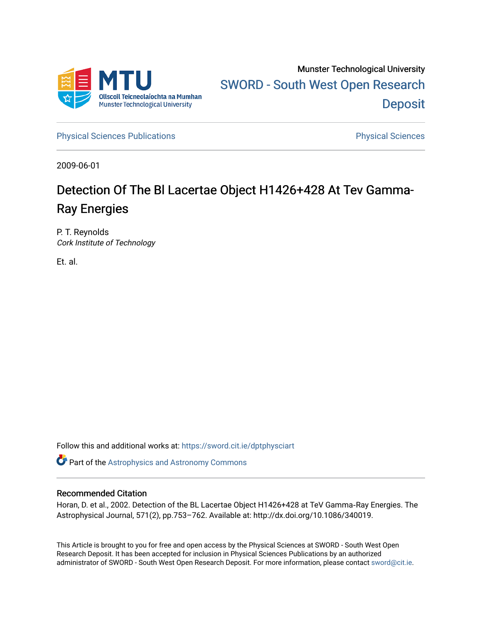

[Physical Sciences Publications](https://sword.cit.ie/dptphysciart) **Physical Sciences** Physical Sciences

2009-06-01

# Detection Of The Bl Lacertae Object H1426+428 At Tev Gamma-Ray Energies

P. T. Reynolds Cork Institute of Technology

Et. al.

Follow this and additional works at: [https://sword.cit.ie/dptphysciart](https://sword.cit.ie/dptphysciart?utm_source=sword.cit.ie%2Fdptphysciart%2F37&utm_medium=PDF&utm_campaign=PDFCoverPages)

Part of the [Astrophysics and Astronomy Commons](http://network.bepress.com/hgg/discipline/123?utm_source=sword.cit.ie%2Fdptphysciart%2F37&utm_medium=PDF&utm_campaign=PDFCoverPages) 

## Recommended Citation

Horan, D. et al., 2002. Detection of the BL Lacertae Object H1426+428 at TeV Gamma‐Ray Energies. The Astrophysical Journal, 571(2), pp.753–762. Available at: http://dx.doi.org/10.1086/340019.

This Article is brought to you for free and open access by the Physical Sciences at SWORD - South West Open Research Deposit. It has been accepted for inclusion in Physical Sciences Publications by an authorized administrator of SWORD - South West Open Research Deposit. For more information, please contact [sword@cit.ie.](mailto:sword@cit.ie)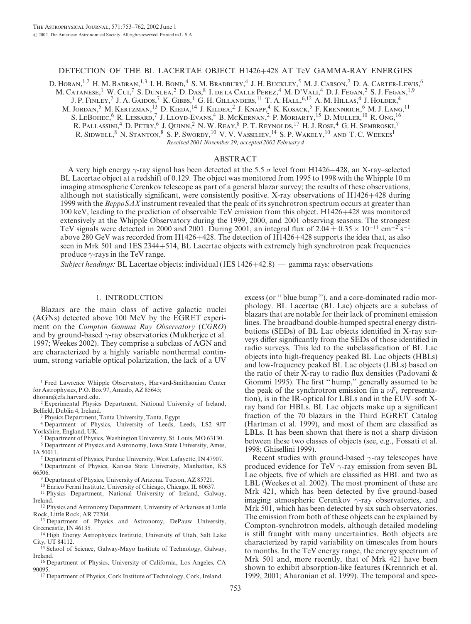## DETECTION OF THE BL LACERTAE OBJECT H1426+428 AT TeV GAMMA-RAY ENERGIES

D. HORAN,<sup>1,2</sup> H. M. BADRAN,<sup>1,3</sup> I. H. BOND,<sup>4</sup> S. M. Bradbury,<sup>4</sup> J. H. Buckley,<sup>5</sup> M. J. Carson,<sup>2</sup> D. A. Carter-Lewis,<sup>6</sup> M. Catanese,<sup>1</sup> W. Cui,<sup>7</sup> S. Dunlea,<sup>2</sup> D. Das,<sup>8</sup> I. de la Calle Perez,<sup>4</sup> M. D'Vali,<sup>4</sup> D. J. Fegan,<sup>2</sup> S. J. Fegan,<sup>1,9</sup> J. P. Finley,<sup>7</sup> J. A. Gaidos,<sup>7</sup> K. Gibbs,<sup>1</sup> G. H. Gillanders,<sup>11</sup> T. A. Hall,<sup>6,12</sup> A. M. Hillas,<sup>4</sup> J. Holder,<sup>4</sup> M. Jordan,<sup>5</sup> M. Kertzman,<sup>13</sup> D. Kieda,<sup>14</sup> J. Kildea,<sup>2</sup> J. Knapp,<sup>4</sup> K. Kosack,<sup>5</sup> F. Krennrich,<sup>6</sup> M. J. Lang,<sup>11</sup> S. LEBOHEC, <sup>6</sup> R. LESSARD,<sup>7</sup> J. Lloyd-Evans,<sup>4</sup> B. McKernan,<sup>2</sup> P. Moriarty,<sup>15</sup> D. Muller,<sup>10</sup> R. Ong,<sup>16</sup> R. Pallassini,4 D. Petry,6 J. Quinn,2 N. W. Reay,8 P. T. Reynolds,17 H. J. Rose,4 G. H. Sembroski,7 R. SIDWELL,<sup>8</sup> N. STANTON,<sup>8</sup> S. P. SWORDY,<sup>10</sup> V. V. VASSILIEV,<sup>14</sup> S. P. WAKELY,<sup>10</sup> AND T. C. WEEKES<sup>1</sup> Received 2001 November 29; accepted 2002 February 4

#### ABSTRACT

A very high energy  $\gamma$ -ray signal has been detected at the 5.5  $\sigma$  level from H1426+428, an X-ray–selected BL Lacertae object at a redshift of 0.129. The object was monitored from 1995 to 1998 with the Whipple 10 m imaging atmospheric Cerenkov telescope as part of a general blazar survey; the results of these observations, although not statistically significant, were consistently positive. X-ray observations of H1426+428 during 1999 with the BeppoSAX instrument revealed that the peak of its synchrotron spectrum occurs at greater than 100 keV, leading to the prediction of observable TeV emission from this object. H1426+428 was monitored extensively at the Whipple Observatory during the 1999, 2000, and 2001 observing seasons. The strongest TeV signals were detected in 2000 and 2001. During 2001, an integral flux of  $2.04 \pm 0.35 \times 10^{-11}$  cm<sup>-2</sup> s<sup>-1</sup> above 280 GeV was recorded from H1426+428. The detection of H1426+428 supports the idea that, as also seen in Mrk 501 and 1ES 2344+514, BL Lacertae objects with extremely high synchrotron peak frequencies produce  $\gamma$ -rays in the TeV range.

Subject headings: BL Lacertae objects: individual (1ES 1426+42.8) — gamma rays: observations

## 1. INTRODUCTION

Blazars are the main class of active galactic nuclei (AGNs) detected above 100 MeV by the EGRET experiment on the Compton Gamma Ray Observatory (CGRO) and by ground-based  $\gamma$ -ray observatories (Mukherjee et al. 1997; Weekes 2002). They comprise a subclass of AGN and are characterized by a highly variable nonthermal continuum, strong variable optical polarization, the lack of a UV

<sup>1</sup> Fred Lawrence Whipple Observatory, Harvard-Smithsonian Center for Astrophysics, P.O. Box 97, Amado, AZ 85645;

dhoran@cfa.harvard.edu.

<sup>2</sup> Experimental Physics Department, National University of Ireland, Belfield, Dublin 4, Ireland.

<sup>3</sup> Physics Department, Tanta University, Tanta, Egypt.

<sup>4</sup> Department of Physics, University of Leeds, Leeds, LS2 9JT Yorkshire, England, UK.

<sup>5</sup> Department of Physics, Washington University, St. Louis, MO 63130.

<sup>6</sup> Department of Physics and Astronomy, Iowa State University, Ames, IA 50011.

<sup>8</sup> Department of Physics, Kansas State University, Manhattan, KS 66506. <sup>7</sup> Department of Physics, Purdue University, West Lafayette, IN 47907.

<sup>9</sup> Department of Physics, University of Arizona, Tucson, AZ 85721.

<sup>10</sup> Enrico Fermi Institute, University of Chicago, Chicago, IL 60637.

<sup>11</sup> Physics Department, National University of Ireland, Galway, Ireland.

<sup>12</sup> Physics and Astronomy Department, University of Arkansas at Little Rock, Little Rock, AR 72204.

<sup>13</sup> Department of Physics and Astronomy, DePauw University, Greencastle, IN 46135.

<sup>14</sup> High Energy Astrophysics Institute, University of Utah, Salt Lake City, UT 84112.

<sup>15</sup> School of Science, Galway-Mayo Institute of Technology, Galway, Ireland.

<sup>16</sup> Department of Physics, University of California, Los Angeles, CA 90095.

<sup>17</sup> Department of Physics, Cork Institute of Technology, Cork, Ireland.

excess (or '' blue bump ''), and a core-dominated radio morphology. BL Lacertae (BL Lac) objects are a subclass of blazars that are notable for their lack of prominent emission lines. The broadband double-humped spectral energy distributions (SEDs) of BL Lac objects identified in X-ray surveys differ significantly from the SEDs of those identified in radio surveys. This led to the subclassification of BL Lac objects into high-frequency peaked BL Lac objects (HBLs) and low-frequency peaked BL Lac objects (LBLs) based on the ratio of their X-ray to radio flux densities (Padovani & Giommi 1995). The first '' hump,'' generally assumed to be the peak of the synchrotron emission (in a  $\nu F_{\nu}$  representation), is in the IR-optical for LBLs and in the EUV–soft Xray band for HBLs. BL Lac objects make up a significant fraction of the 70 blazars in the Third EGRET Catalog (Hartman et al. 1999), and most of them are classified as LBLs. It has been shown that there is not a sharp division between these two classes of objects (see, e.g., Fossati et al. 1998; Ghisellini 1999).

Recent studies with ground-based  $\gamma$ -ray telescopes have produced evidence for TeV  $\gamma$ -ray emission from seven BL Lac objects, five of which are classified as HBL and two as LBL (Weekes et al. 2002). The most prominent of these are Mrk 421, which has been detected by five ground-based imaging atmospheric Cerenkov  $\gamma$ -ray observatories, and Mrk 501, which has been detected by six such observatories. The emission from both of these objects can be explained by Compton-synchrotron models, although detailed modeling is still fraught with many uncertainties. Both objects are characterized by rapid variability on timescales from hours to months. In the TeV energy range, the energy spectrum of Mrk 501 and, more recently, that of Mrk 421 have been shown to exhibit absorption-like features (Krennrich et al. 1999, 2001; Aharonian et al. 1999). The temporal and spec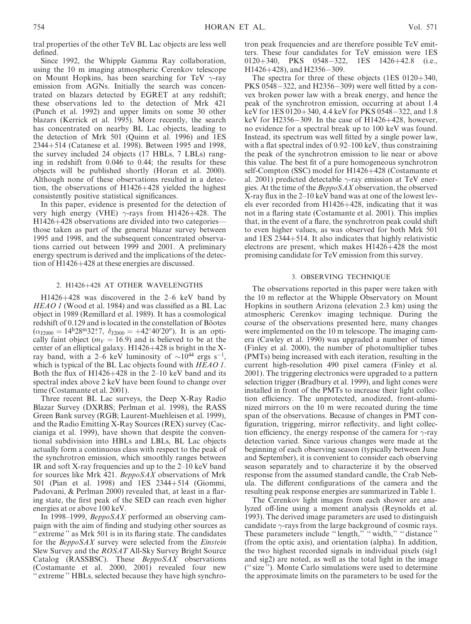tral properties of the other TeV BL Lac objects are less well defined.

Since 1992, the Whipple Gamma Ray collaboration, using the 10 m imaging atmospheric Cerenkov telescope on Mount Hopkins, has been searching for TeV  $\gamma$ -ray emission from AGNs. Initially the search was concentrated on blazars detected by EGRET at any redshift; these observations led to the detection of Mrk 421 (Punch et al. 1992) and upper limits on some 30 other blazars (Kerrick et al. 1995). More recently, the search has concentrated on nearby BL Lac objects, leading to the detection of Mrk 501 (Quinn et al. 1996) and 1ES 2344+514 (Catanese et al. 1998). Between 1995 and 1998, the survey included 24 objects (17 HBLs, 7 LBLs) ranging in redshift from 0.046 to 0.44; the results for these objects will be published shortly (Horan et al. 2000). Although none of these observations resulted in a detection, the observations of H1426+428 yielded the highest consistently positive statistical significances.

In this paper, evidence is presented for the detection of very high energy (VHE)  $\gamma$ -rays from H1426+428. The H1426+428 observations are divided into two categories those taken as part of the general blazar survey between 1995 and 1998, and the subsequent concentrated observations carried out between 1999 and 2001. A preliminary energy spectrum is derived and the implications of the detection of H1426+428 at these energies are discussed.

## 2. H1426+428 AT OTHER WAVELENGTHS

H1426+428 was discovered in the 2–6 keV band by HEAO 1 (Wood et al. 1984) and was classified as a BL Lac object in 1989 (Remillard et al. 1989). It has a cosmological redshift of 0.129 and is located in the constellation of Böotes  $(\alpha_{J2000} = 14h28m32s7, \delta_{J2000} = +42°40'20'')$ . It is an optically faint object ( $m_V = 16.9$ ) and is believed to be at the center of an elliptical galaxy. H1426+428 is bright in the Xray band, with a 2–6 keV luminosity of  $\sim 10^{44}$  ergs s<sup>-1</sup>, which is typical of the BL Lac objects found with HEAO 1. Both the flux of H1426+428 in the 2–10 keV band and its spectral index above 2 keV have been found to change over time (Costamante et al. 2001).

Three recent BL Lac surveys, the Deep X-Ray Radio Blazar Survey (DXRBS; Perlman et al. 1998), the RASS Green Bank survey (RGB; Laurent-Muehleisen et al. 1999), and the Radio Emitting X-Ray Sources (REX) survey (Caccianiga et al. 1999), have shown that despite the conventional subdivision into HBLs and LBLs, BL Lac objects actually form a continuous class with respect to the peak of the synchrotron emission, which smoothly ranges between IR and soft X-ray frequencies and up to the 2–10 keV band for sources like Mrk 421. BeppoSAX observations of Mrk 501 (Pian et al. 1998) and 1ES 2344+514 (Giommi, Padovani, & Perlman 2000) revealed that, at least in a flaring state, the first peak of the SED can reach even higher energies at or above 100 keV.

In 1998–1999, BeppoSAX performed an observing campaign with the aim of finding and studying other sources as '' extreme '' as Mrk 501 is in its flaring state. The candidates for the *BeppoSAX* survey were selected from the *Einstein* Slew Survey and the ROSAT All-Sky Survey Bright Source Catalog (RASSBSC). These  $BeppoSAX$  observations (Costamante et al. 2000, 2001) revealed four new '' extreme '' HBLs, selected because they have high synchrotron peak frequencies and are therefore possible TeV emitters. These four candidates for TeV emission were 1ES  $0120+340$ , PKS  $0548-322$ , 1ES  $1426+42.8$  (i.e.,  $H1426+428$ , and  $H2356-309$ .

The spectra for three of these objects (1ES 0120+340, PKS 0548 $-322$ , and H2356 $-309$ ) were well fitted by a convex broken power law with a break energy, and hence the peak of the synchrotron emission, occurring at about 1.4 keV for  $1ES\ 0120+340$ , 4.4 keV for PKS 0548-322, and 1.8 keV for H2356 $-309$ . In the case of H1426+428, however, no evidence for a spectral break up to 100 keV was found. Instead, its spectrum was well fitted by a single power law, with a flat spectral index of 0.92–100 keV, thus constraining the peak of the synchrotron emission to lie near or above this value. The best fit of a pure homogeneous synchrotron self-Compton (SSC) model for H1426+428 (Costamante et al. 2001) predicted detectable  $\gamma$ -ray emission at TeV energies. At the time of the BeppoSAX observation, the observed X-ray flux in the 2–10 keV band was at one of the lowest levels ever recorded from H1426+428, indicating that it was not in a flaring state (Costamante et al. 2001). This implies that, in the event of a flare, the synchrotron peak could shift to even higher values, as was observed for both Mrk 501 and 1ES 2344+514. It also indicates that highly relativistic electrons are present, which makes H1426+428 the most promising candidate for TeV emission from this survey.

#### 3. OBSERVING TECHNIQUE

The observations reported in this paper were taken with the 10 m reflector at the Whipple Observatory on Mount Hopkins in southern Arizona (elevation 2.3 km) using the atmospheric Cerenkov imaging technique. During the course of the observations presented here, many changes were implemented on the 10 m telescope. The imaging camera (Cawley et al. 1990) was upgraded a number of times (Finley et al. 2000), the number of photomultiplier tubes (PMTs) being increased with each iteration, resulting in the current high-resolution 490 pixel camera (Finley et al. 2001). The triggering electronics were upgraded to a pattern selection trigger (Bradbury et al. 1999), and light cones were installed in front of the PMTs to increase their light collection efficiency. The unprotected, anodized, front-aluminized mirrors on the 10 m were recoated during the time span of the observations. Because of changes in PMT configuration, triggering, mirror reflectivity, and light collection efficiency, the energy response of the camera for  $\gamma$ -ray detection varied. Since various changes were made at the beginning of each observing season (typically between June and September), it is convenient to consider each observing season separately and to characterize it by the observed response from the assumed standard candle, the Crab Nebula. The different configurations of the camera and the resulting peak response energies are summarized in Table 1.

The Cerenkov light images from each shower are analyzed off-line using a moment analysis (Reynolds et al. 1993). The derived image parameters are used to distinguish candidate  $\gamma$ -rays from the large background of cosmic rays. These parameters include "length," "width," "distance" (from the optic axis), and orientation (alpha). In addition, the two highest recorded signals in individual pixels (sig1 and sig2) are noted, as well as the total light in the image ('' size ''). Monte Carlo simulations were used to determine the approximate limits on the parameters to be used for the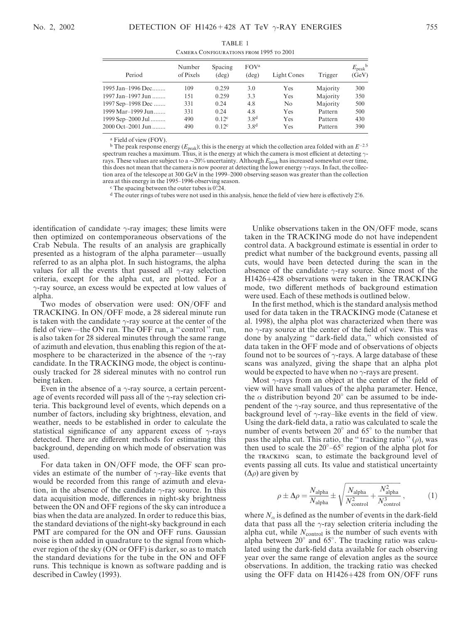| <b>CAMERA CONFIGURATIONS FROM 1995 TO 2001</b> |                     |                           |                                    |             |          |                                      |
|------------------------------------------------|---------------------|---------------------------|------------------------------------|-------------|----------|--------------------------------------|
| Period                                         | Number<br>of Pixels | Spacing<br>$(\text{deg})$ | FOV <sup>a</sup><br>$(\text{deg})$ | Light Cones | Trigger  | $E_{\rm peak}$ <sup>b</sup><br>(GeV) |
| 1995 Jan-1996 Dec                              | 109                 | 0.259                     | 3.0                                | Yes         | Majority | 300                                  |
| 1997 Jan-1997 Jun                              | 151                 | 0.259                     | 3.3                                | Yes         | Majority | 350                                  |
| 1997 Sep-1998 Dec                              | 331                 | 0.24                      | 4.8                                | No          | Majority | 500                                  |
| 1999 Mar–1999 Jun                              | 331                 | 0.24                      | 4.8                                | Yes         | Pattern  | 500                                  |
| 1999 Sep-2000 Jul                              | 490                 | $0.12^c$                  | 3.8 <sup>d</sup>                   | Yes         | Pattern  | 430                                  |
| 2000 Oct-2001 Jun                              | 490                 | 0.12 <sup>c</sup>         | 3.8 <sup>d</sup>                   | Yes         | Pattern  | 390                                  |
|                                                |                     |                           |                                    |             |          |                                      |

TABLE 1 Camera Configurations from 1995 to 2001

<sup>a</sup> Field of view (FOV).

<sup>b</sup> The peak response energy ( $E_{peak}$ ); this is the energy at which the collection area folded with an  $E^{-2.5}$ spectrum reaches a maximum. Thus, it is the energy at which the camera is most efficient at detecting  $\gamma$ rays. These values are subject to a  $\sim$ 20% uncertainty. Although  $E_{\rm peak}$  has increased somewhat over time, this does not mean that the camera is now poorer at detecting the lower energy  $\gamma$ -rays. In fact, the collection area of the telescope at 300 GeV in the 1999–2000 observing season was greater than the collection area at this energy in the 1995–1996 observing season.

 $\degree$  The spacing between the outer tubes is 0°.24.

 $d$  The outer rings of tubes were not used in this analysis, hence the field of view here is effectively 2 $\degree$ 6.

identification of candidate  $\gamma$ -ray images; these limits were then optimized on contemporaneous observations of the Crab Nebula. The results of an analysis are graphically presented as a histogram of the alpha parameter—usually referred to as an alpha plot. In such histograms, the alpha values for all the events that passed all  $\gamma$ -ray selection criteria, except for the alpha cut, are plotted. For a  $\gamma$ -ray source, an excess would be expected at low values of alpha.

Two modes of observation were used: ON/OFF and TRACKING. In ON/OFF mode, a 28 sidereal minute run is taken with the candidate  $\gamma$ -ray source at the center of the field of view—the ON run. The OFF run, a "control" run, is also taken for 28 sidereal minutes through the same range of azimuth and elevation, thus enabling this region of the atmosphere to be characterized in the absence of the  $\gamma$ -ray candidate. In the TRACKING mode, the object is continuously tracked for 28 sidereal minutes with no control run being taken.

Even in the absence of a  $\gamma$ -ray source, a certain percentage of events recorded will pass all of the  $\gamma$ -ray selection criteria. This background level of events, which depends on a number of factors, including sky brightness, elevation, and weather, needs to be established in order to calculate the statistical significance of any apparent excess of  $\gamma$ -rays detected. There are different methods for estimating this background, depending on which mode of observation was used.

For data taken in ON/OFF mode, the OFF scan provides an estimate of the number of  $\gamma$ -ray–like events that would be recorded from this range of azimuth and elevation, in the absence of the candidate  $\gamma$ -ray source. In this data acquisition mode, differences in night-sky brightness between the ON and OFF regions of the sky can introduce a bias when the data are analyzed. In order to reduce this bias, the standard deviations of the night-sky background in each PMT are compared for the ON and OFF runs. Gaussian noise is then added in quadrature to the signal from whichever region of the sky (ON or OFF) is darker, so as to match the standard deviations for the tube in the ON and OFF runs. This technique is known as software padding and is described in Cawley (1993).

Unlike observations taken in the ON/OFF mode, scans taken in the TRACKING mode do not have independent control data. A background estimate is essential in order to predict what number of the background events, passing all cuts, would have been detected during the scan in the absence of the candidate  $\gamma$ -ray source. Since most of the H1426+428 observations were taken in the TRACKING mode, two different methods of background estimation were used. Each of these methods is outlined below.

In the first method, which is the standard analysis method used for data taken in the TRACKING mode (Catanese et al. 1998), the alpha plot was characterized when there was no  $\gamma$ -ray source at the center of the field of view. This was done by analyzing '' dark-field data,'' which consisted of data taken in the OFF mode and of observations of objects found not to be sources of  $\gamma$ -rays. A large database of these scans was analyzed, giving the shape that an alpha plot would be expected to have when no  $\gamma$ -rays are present.

Most  $\gamma$ -rays from an object at the center of the field of view will have small values of the alpha parameter. Hence, the  $\alpha$  distribution beyond 20° can be assumed to be independent of the  $\gamma$ -ray source, and thus representative of the background level of  $\gamma$ -ray–like events in the field of view. Using the dark-field data, a ratio was calculated to scale the number of events between  $20^{\circ}$  and  $65^{\circ}$  to the number that pass the alpha cut. This ratio, the "tracking ratio"  $(\rho)$ , was then used to scale the  $20^{\circ} - 65^{\circ}$  region of the alpha plot for the tracking scan, to estimate the background level of events passing all cuts. Its value and statistical uncertainty  $(\Delta \rho)$  are given by

$$
\rho \pm \Delta \rho = \frac{N_{\text{alpha}}}{N_{\text{alpha}}} \pm \sqrt{\frac{N_{\text{alpha}}}{N_{\text{control}}^2} + \frac{N_{\text{alpha}}^2}{N_{\text{control}}^3}},\tag{1}
$$

where  $N_{\alpha}$  is defined as the number of events in the dark-field data that pass all the  $\gamma$ -ray selection criteria including the alpha cut, while  $N_{\text{control}}$  is the number of such events with alpha between  $20^{\circ}$  and  $65^{\circ}$ . The tracking ratio was calculated using the dark-field data available for each observing year over the same range of elevation angles as the source observations. In addition, the tracking ratio was checked using the OFF data on H1426+428 from ON/OFF runs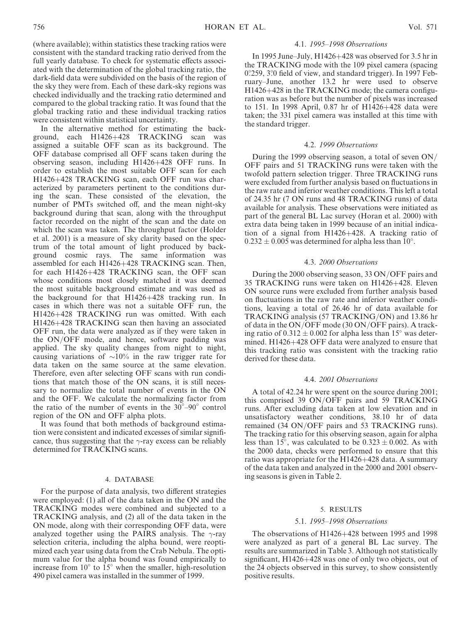(where available); within statistics these tracking ratios were consistent with the standard tracking ratio derived from the full yearly database. To check for systematic effects associated with the determination of the global tracking ratio, the dark-field data were subdivided on the basis of the region of the sky they were from. Each of these dark-sky regions was checked individually and the tracking ratio determined and compared to the global tracking ratio. It was found that the global tracking ratio and these individual tracking ratios were consistent within statistical uncertainty.

In the alternative method for estimating the background, each H1426+428 TRACKING scan was assigned a suitable OFF scan as its background. The OFF database comprised all OFF scans taken during the observing season, including H1426+428 OFF runs. In order to establish the most suitable OFF scan for each H1426+428 TRACKING scan, each OFF run was characterized by parameters pertinent to the conditions during the scan. These consisted of the elevation, the number of PMTs switched off, and the mean night-sky background during that scan, along with the throughput factor recorded on the night of the scan and the date on which the scan was taken. The throughput factor (Holder et al. 2001) is a measure of sky clarity based on the spectrum of the total amount of light produced by background cosmic rays. The same information was assembled for each H1426+428 TRACKING scan. Then, for each H1426+428 TRACKING scan, the OFF scan whose conditions most closely matched it was deemed the most suitable background estimate and was used as the background for that H1426+428 tracking run. In cases in which there was not a suitable OFF run, the H1426+428 TRACKING run was omitted. With each H1426+428 TRACKING scan then having an associated OFF run, the data were analyzed as if they were taken in the ON/OFF mode, and hence, software padding was applied. The sky quality changes from night to night, causing variations of  $\sim 10\%$  in the raw trigger rate for data taken on the same source at the same elevation. Therefore, even after selecting OFF scans with run conditions that match those of the ON scans, it is still necessary to normalize the total number of events in the ON and the OFF. We calculate the normalizing factor from the ratio of the number of events in the  $30^{\circ}$ -90° control region of the ON and OFF alpha plots.

It was found that both methods of background estimation were consistent and indicated excesses of similar significance, thus suggesting that the  $\gamma$ -ray excess can be reliably determined for TRACKING scans.

#### 4. DATABASE

For the purpose of data analysis, two different strategies were employed: (1) all of the data taken in the ON and the TRACKING modes were combined and subjected to a TRACKING analysis, and (2) all of the data taken in the ON mode, along with their corresponding OFF data, were analyzed together using the PAIRS analysis. The  $\gamma$ -ray selection criteria, including the alpha bound, were reoptimized each year using data from the Crab Nebula. The optimum value for the alpha bound was found empirically to increase from  $10^{\circ}$  to  $15^{\circ}$  when the smaller, high-resolution 490 pixel camera was installed in the summer of 1999.

## 4.1. 1995–1998 Observations

In 1995 June–July, H1426+428 was observed for 3.5 hr in the TRACKING mode with the 109 pixel camera (spacing 0.259, 3.0 field of view, and standard trigger). In 1997 February–June, another 13.2 hr were used to observe H1426+428 in the TRACKING mode; the camera configuration was as before but the number of pixels was increased to 151. In 1998 April, 0.87 hr of H1426+428 data were taken; the 331 pixel camera was installed at this time with the standard trigger.

#### 4.2. 1999 Observations

During the 1999 observing season, a total of seven ON/ OFF pairs and 51 TRACKING runs were taken with the twofold pattern selection trigger. Three TRACKING runs were excluded from further analysis based on fluctuations in the raw rate and inferior weather conditions. This left a total of 24.35 hr (7 ON runs and 48 TRACKING runs) of data available for analysis. These observations were initiated as part of the general BL Lac survey (Horan et al. 2000) with extra data being taken in 1999 because of an initial indication of a signal from H1426+428. A tracking ratio of  $0.232 \pm 0.005$  was determined for alpha less than 10°.

#### 4.3. 2000 Observations

During the 2000 observing season, 33 ON/OFF pairs and 35 TRACKING runs were taken on H1426+428. Eleven ON source runs were excluded from further analysis based on fluctuations in the raw rate and inferior weather conditions, leaving a total of 26.46 hr of data available for TRACKING analysis (57 TRACKING/ON) and 13.86 hr of data in the ON/OFF mode (30 ON/OFF pairs). A tracking ratio of  $0.312 \pm 0.002$  for alpha less than 15° was determined. H1426+428 OFF data were analyzed to ensure that this tracking ratio was consistent with the tracking ratio derived for these data.

## 4.4. 2001 Observations

A total of 42.24 hr were spent on the source during 2001; this comprised 39 ON/OFF pairs and 59 TRACKING runs. After excluding data taken at low elevation and in unsatisfactory weather conditions, 38.10 hr of data remained (34 ON/OFF pairs and 53 TRACKING runs). The tracking ratio for this observing season, again for alpha less than  $15^{\circ}$ , was calculated to be  $0.323 \pm 0.002$ . As with the 2000 data, checks were performed to ensure that this ratio was appropriate for the H1426+428 data. A summary of the data taken and analyzed in the 2000 and 2001 observing seasons is given in Table 2.

## 5. RESULTS

#### 5.1. 1995–1998 Observations

The observations of H1426+428 between 1995 and 1998 were analyzed as part of a general BL Lac survey. The results are summarized in Table 3. Although not statistically significant, H1426+428 was one of only two objects, out of the 24 objects observed in this survey, to show consistently positive results.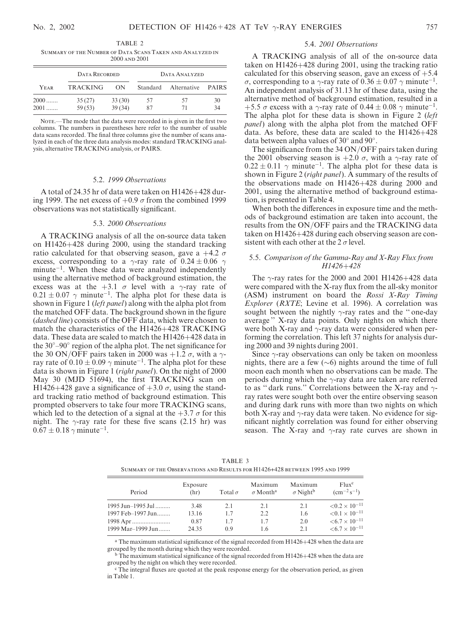TABLE 2 Summary of the Number of Data Scans Taken and Analyzed in 2000 and 2001

| DATA RECORDED |                 |        | DATA ANALYZED |             |              |  |
|---------------|-----------------|--------|---------------|-------------|--------------|--|
| YEAR          | <b>TRACKING</b> | ON     | Standard      | Alternative | <b>PAIRS</b> |  |
| $2000$        | 35(27)          | 33(30) | 57            | 57          | 30           |  |
| 2001          | 59 (53)         | 39(34) | 87            | 71          | 34           |  |

NOTE $-$ The mode that the data were recorded in is given in the first two columns. The numbers in parentheses here refer to the number of usable data scans recorded. The final three columns give the number of scans analyzed in each of the three data analysis modes: standard TRACKING analysis, alternative TRACKING analysis, or PAIRS.

#### 5.2. 1999 Observations

A total of 24.35 hr of data were taken on H1426+428 during 1999. The net excess of  $+0.9 \sigma$  from the combined 1999 observations was not statistically significant.

#### 5.3. 2000 Observations

A TRACKING analysis of all the on-source data taken on H1426+428 during 2000, using the standard tracking ratio calculated for that observing season, gave a  $+4.2 \sigma$ excess, corresponding to a  $\gamma$ -ray rate of 0.24  $\pm$  0.06  $\gamma$  $minute^{-1}$ . When these data were analyzed independently using the alternative method of background estimation, the excess was at the  $+3.1$   $\sigma$  level with a  $\gamma$ -ray rate of  $0.21 \pm 0.07$   $\gamma$  minute<sup>-1</sup>. The alpha plot for these data is shown in Figure 1 (left panel) along with the alpha plot from the matched OFF data. The background shown in the figure (dashed line) consists of the OFF data, which were chosen to match the characteristics of the H1426+428 TRACKING data. These data are scaled to match the H1426+428 data in the  $30^{\circ}$ –90 $^{\circ}$  region of the alpha plot. The net significance for the 30 ON/OFF pairs taken in 2000 was  $+1.2 \sigma$ , with a  $\gamma$ ray rate of  $0.10 \pm 0.09$   $\gamma$  minute<sup>-1</sup>. The alpha plot for these data is shown in Figure 1 (right panel). On the night of 2000 May 30 (MJD 51694), the first TRACKING scan on H1426+428 gave a significance of  $+3.0 \sigma$ , using the standard tracking ratio method of background estimation. This prompted observers to take four more TRACKING scans, which led to the detection of a signal at the  $+3.7 \sigma$  for this night. The  $\gamma$ -ray rate for these five scans (2.15 hr) was  $0.67 \pm 0.18$   $\gamma$  minute<sup>-1</sup>.

#### 5.4. 2001 Observations

A TRACKING analysis of all of the on-source data taken on H1426+428 during 2001, using the tracking ratio calculated for this observing season, gave an excess of  $+5.4$  $\sigma$ , corresponding to a  $\gamma$ -ray rate of 0.36  $\pm$  0.07  $\gamma$  minute<sup>-1</sup>. An independent analysis of 31.13 hr of these data, using the alternative method of background estimation, resulted in a +5.5  $\sigma$  excess with a  $\gamma$ -ray rate of 0.44  $\pm$  0.08  $\gamma$  minute<sup>-1</sup>. The alpha plot for these data is shown in Figure 2 (left panel) along with the alpha plot from the matched OFF data. As before, these data are scaled to the H1426+428 data between alpha values of  $30^{\circ}$  and  $90^{\circ}$ .

The significance from the 34 ON/OFF pairs taken during the 2001 observing season is  $+2.0 \sigma$ , with a  $\gamma$ -ray rate of  $0.22 \pm 0.11$   $\gamma$  minute<sup>-1</sup>. The alpha plot for these data is shown in Figure 2 (*right panel*). A summary of the results of the observations made on H1426+428 during 2000 and 2001, using the alternative method of background estimation, is presented in Table 4.

When both the differences in exposure time and the methods of background estimation are taken into account, the results from the ON/OFF pairs and the TRACKING data taken on H1426+428 during each observing season are consistent with each other at the  $2 \sigma$  level.

## 5.5. Comparison of the Gamma-Ray and X-Ray Flux from H1426+428

The  $\gamma$ -ray rates for the 2000 and 2001 H1426+428 data were compared with the X-ray flux from the all-sky monitor (ASM) instrument on board the Rossi X-Ray Timing Explorer (RXTE; Levine et al. 1996). A correlation was sought between the nightly  $\gamma$ -ray rates and the "one-day average '' X-ray data points. Only nights on which there were both X-ray and  $\gamma$ -ray data were considered when performing the correlation. This left 37 nights for analysis during 2000 and 39 nights during 2001.

Since  $\gamma$ -ray observations can only be taken on moonless nights, there are a few  $(\sim 6)$  nights around the time of full moon each month when no observations can be made. The periods during which the  $\gamma$ -ray data are taken are referred to as "dark runs." Correlations between the X-ray and  $\gamma$ ray rates were sought both over the entire observing season and during dark runs with more than two nights on which both X-ray and  $\gamma$ -ray data were taken. No evidence for significant nightly correlation was found for either observing season. The X-ray and  $\gamma$ -ray rate curves are shown in

 $< 0.2 \times 10^{-11}$ 

 $< 0.1 \times 10^{-11}$ 

 $<\!6.7\times10^{-11}$ 

 $< 6.7 \times 10^{-11}$ 

| SUMMARY OF THE OBSERVATIONS AND RESULTS FOR H1426+428 BETWEEN 1995 AND 1999 |                  |                |                                        |                                        |                                              |  |
|-----------------------------------------------------------------------------|------------------|----------------|----------------------------------------|----------------------------------------|----------------------------------------------|--|
| Period                                                                      | Exposure<br>(hr) | Total $\sigma$ | Maximum<br>$\sigma$ Month <sup>a</sup> | Maximum<br>$\sigma$ Night <sup>b</sup> | Flux <sup>c</sup><br>$\rm (cm^{-2}\,s^{-1})$ |  |

1995 Jun–1995 Jul ......... 3.48 2.1 2.1 2.1 <0.2 -

1997 Feb–1997 Jun........ 13.16 1.7 2.2 1.6 <0.1 -

1998 Apr ....................... 0.87 1.7 1.7 2.0 <6.7 -

1999 Mar-1999 Jun....... 24.35 0.9 1.6 2.1

TABLE 3 Summary of the Observations and Results for H1426+428 between 1995 and 1999

<sup>a</sup> The maximum statistical significance of the signal recorded from H1426+428 when the data are grouped by the month during which they were recorded.

 $b$  The maximum statistical significance of the signal recorded from H1426+428 when the data are grouped by the night on which they were recorded.

<sup>c</sup> The integral fluxes are quoted at the peak response energy for the observation period, as given in Table 1.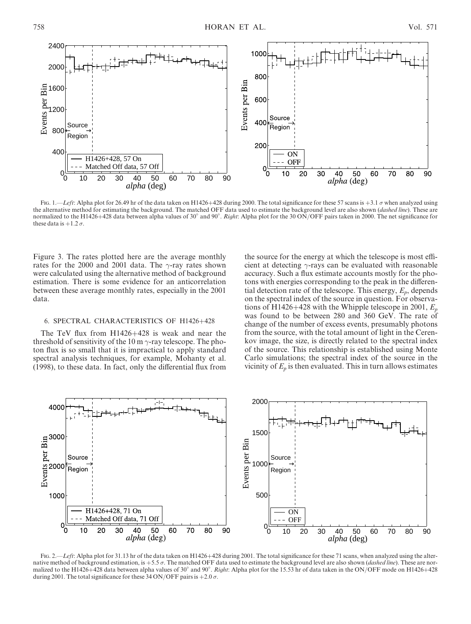

Fig. 1.—Left: Alpha plot for 26.49 hr of the data taken on H1426+428 during 2000. The total significance for these 57 scans is +3.1  $\sigma$  when analyzed using the alternative method for estimating the background. The matched OFF data used to estimate the background level are also shown (dashed line). These are normalized to the H1426+428 data between alpha values of 30° and 90°. Right: Alpha plot for the 30 ON/OFF pairs taken in 2000. The net significance for these data is  $+1.2 \sigma$ .

Figure 3. The rates plotted here are the average monthly rates for the 2000 and 2001 data. The  $\gamma$ -ray rates shown were calculated using the alternative method of background estimation. There is some evidence for an anticorrelation between these average monthly rates, especially in the 2001 data.

## 6. SPECTRAL CHARACTERISTICS OF H1426+428

The TeV flux from H1426+428 is weak and near the threshold of sensitivity of the 10 m  $\gamma$ -ray telescope. The photon flux is so small that it is impractical to apply standard spectral analysis techniques, for example, Mohanty et al. (1998), to these data. In fact, only the differential flux from

the source for the energy at which the telescope is most efficient at detecting  $\gamma$ -rays can be evaluated with reasonable accuracy. Such a flux estimate accounts mostly for the photons with energies corresponding to the peak in the differential detection rate of the telescope. This energy,  $E_p$ , depends on the spectral index of the source in question. For observations of H1426+428 with the Whipple telescope in 2001,  $E_p$ was found to be between 280 and 360 GeV. The rate of change of the number of excess events, presumably photons from the source, with the total amount of light in the Cerenkov image, the size, is directly related to the spectral index of the source. This relationship is established using Monte Carlo simulations; the spectral index of the source in the vicinity of  $E_p$  is then evaluated. This in turn allows estimates



Fig. 2.—Left: Alpha plot for 31.13 hr of the data taken on H1426+428 during 2001. The total significance for these 71 scans, when analyzed using the alternative method of background estimation, is  $+5.5 \sigma$ . The matched OFF data used to estimate the background level are also shown (*dashed line*). These are normalized to the H1426+428 data between alpha values of 30° and 90°. Right: Alpha plot for the 15.53 hr of data taken in the ON/OFF mode on H1426+428 during 2001. The total significance for these 34 ON/OFF pairs is  $+2.0 \sigma$ .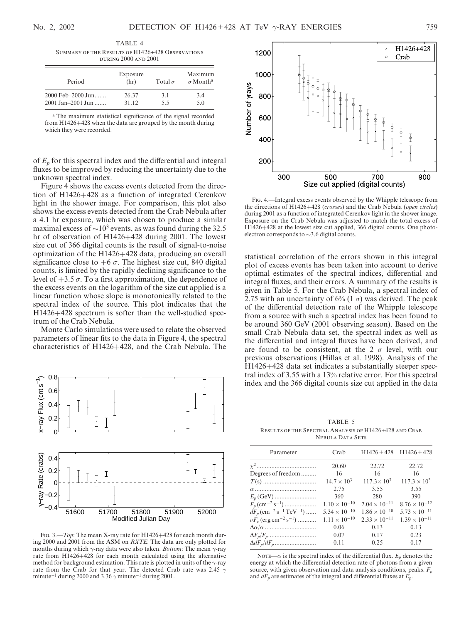TABLE 4 Summary of the Results of H1426+428 Observations during 2000 and 2001

| Period            | Exposure<br>(hr) | Total $\sigma$ | Maximum<br>$\sigma$ Month <sup>a</sup> |
|-------------------|------------------|----------------|----------------------------------------|
| 2000 Feb-2000 Jun | 26.37            | 31             | 3.4                                    |
| 2001 Jan-2001 Jun | 31.12            | 55             | 5.0                                    |

<sup>a</sup> The maximum statistical significance of the signal recorded from H1426+428 when the data are grouped by the month during which they were recorded.

of  $E_p$  for this spectral index and the differential and integral fluxes to be improved by reducing the uncertainty due to the unknown spectral index.

Figure 4 shows the excess events detected from the direction of H1426+428 as a function of integrated Cerenkov light in the shower image. For comparison, this plot also shows the excess events detected from the Crab Nebula after a 4.1 hr exposure, which was chosen to produce a similar maximal excess of  $\sim 10^3$  events, as was found during the 32.5 hr of observation of H1426+428 during 2001. The lowest size cut of 366 digital counts is the result of signal-to-noise optimization of the H1426+428 data, producing an overall significance close to  $+6\sigma$ . The highest size cut, 840 digital counts, is limited by the rapidly declining significance to the level of  $+3.5 \sigma$ . To a first approximation, the dependence of the excess events on the logarithm of the size cut applied is a linear function whose slope is monotonically related to the spectral index of the source. This plot indicates that the H1426+428 spectrum is softer than the well-studied spectrum of the Crab Nebula.

Monte Carlo simulations were used to relate the observed parameters of linear fits to the data in Figure 4, the spectral characteristics of H1426+428, and the Crab Nebula. The



Fig. 3.—*Top*: The mean X-ray rate for H1426+428 for each month during 2000 and 2001 from the ASM on RXTE. The data are only plotted for months during which  $\gamma$ -ray data were also taken. *Bottom*: The mean  $\gamma$ -ray rate from H1426+428 for each month calculated using the alternative method for background estimation. This rate is plotted in units of the  $\gamma$ -ray rate from the Crab for that year. The detected Crab rate was 2.45  $\gamma$ minute<sup>-1</sup> during 2000 and 3.36  $\gamma$  minute<sup>-1</sup> during 2001.



Fig. 4.—Integral excess events observed by the Whipple telescope from the directions of H1426+428 (crosses) and the Crab Nebula (open circles) during 2001 as a function of integrated Cerenkov light in the shower image. Exposure on the Crab Nebula was adjusted to match the total excess of H1426+428 at the lowest size cut applied, 366 digital counts. One photoelectron corresponds to  $\sim$ 3.6 digital counts.

statistical correlation of the errors shown in this integral plot of excess events has been taken into account to derive optimal estimates of the spectral indices, differential and integral fluxes, and their errors. A summary of the results is given in Table 5. For the Crab Nebula, a spectral index of 2.75 with an uncertainty of  $6\%$  (1  $\sigma$ ) was derived. The peak of the differential detection rate of the Whipple telescope from a source with such a spectral index has been found to be around 360 GeV (2001 observing season). Based on the small Crab Nebula data set, the spectral index as well as the differential and integral fluxes have been derived, and are found to be consistent, at the 2  $\sigma$  level, with our previous observations (Hillas et al. 1998). Analysis of the H1426+428 data set indicates a substantially steeper spectral index of 3.55 with a 13% relative error. For this spectral index and the 366 digital counts size cut applied in the data

TABLE 5 Results of the Spectral Analysis of H1426+428 and Crab Nebula Data Sets

| Parameter                                                    | Crab                   | $H1426 + 428$ $H1426 + 428$ |                        |
|--------------------------------------------------------------|------------------------|-----------------------------|------------------------|
|                                                              | 20.60                  | 22.72                       | 22.72                  |
| Degrees of freedom                                           | 16                     | 16                          | 16                     |
|                                                              | $14.7 \times 10^{3}$   | $117.3 \times 10^3$         | $117.3 \times 10^{3}$  |
|                                                              | 2.75                   | 3.55                        | 3.55                   |
| $E_p$ (GeV)                                                  | 360                    | 280                         | 390                    |
| $F_p$ (cm <sup>-2</sup> s <sup>-1</sup> )                    | $1.10 \times 10^{-10}$ | $2.04 \times 10^{-11}$      | $8.76 \times 10^{-12}$ |
| $dF_p$ (cm <sup>-2</sup> s <sup>-1</sup> TeV <sup>-1</sup> ) | $5.34 \times 10^{-10}$ | $1.86 \times 10^{-10}$      | $5.73 \times 10^{-11}$ |
| $\nu F_{\nu}$ (erg cm <sup>-2</sup> s <sup>-1</sup> )        | $1.11 \times 10^{-10}$ | $2.33 \times 10^{-11}$      | $1.39 \times 10^{-11}$ |
|                                                              | 0.06                   | 0.13                        | 0.13                   |
|                                                              | 0.07                   | 0.17                        | 0.23                   |
|                                                              | 0.11                   | 0.25                        | 0.17                   |
|                                                              |                        |                             |                        |

NOTE— $\alpha$  is the spectral index of the differential flux.  $E_p$  denotes the energy at which the differential detection rate of photons from a given source, with given observation and data analysis conditions, peaks.  $F_n$ and  $dF_p$  are estimates of the integral and differential fluxes at  $\vec{E_p}$ .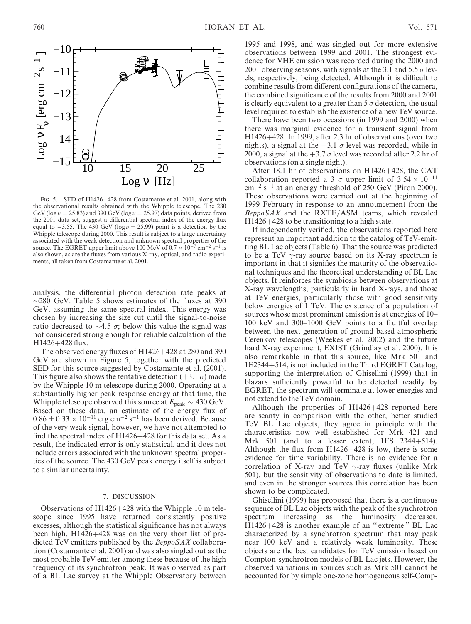



Fig. 5.—SED of H1426+428 from Costamante et al. 2001, along with the observational results obtained with the Whipple telescope. The 280 GeV (log  $\nu = 25.83$ ) and 390 GeV (log  $\nu = 25.97$ ) data points, derived from the 2001 data set, suggest a differential spectral index of the energy flux equal to  $-3.55$ . The 430 GeV (log  $\nu = 25.99$ ) point is a detection by the Whipple telescope during 2000. This result is subject to a large uncertainty associated with the weak detection and unknown spectral properties of the source. The EGRET upper limit above 100 MeV of  $0.7 \times 10^{-7}$  cm<sup>-2</sup> s<sup>-1</sup> is also shown, as are the fluxes from various X-ray, optical, and radio experiments, all taken from Costamante et al. 2001.

analysis, the differential photon detection rate peaks at  $\sim$ 280 GeV. Table 5 shows estimates of the fluxes at 390 GeV, assuming the same spectral index. This energy was chosen by increasing the size cut until the signal-to-noise ratio decreased to  $\sim$ 4.5  $\sigma$ ; below this value the signal was not considered strong enough for reliable calculation of the H1426+428 flux.

The observed energy fluxes of H1426+428 at 280 and 390 GeV are shown in Figure 5, together with the predicted SED for this source suggested by Costamante et al. (2001). This figure also shows the tentative detection  $(+3.1 \sigma)$  made by the Whipple 10 m telescope during 2000. Operating at a substantially higher peak response energy at that time, the Whipple telescope observed this source at  $E_{\text{peak}} \sim 430 \text{ GeV}$ . Based on these data, an estimate of the energy flux of  $0.86 \pm 0.33 \times 10^{-11}$  erg cm<sup>-2</sup> s<sup>-1</sup> has been derived. Because of the very weak signal, however, we have not attempted to find the spectral index of  $H1426+428$  for this data set. As a result, the indicated error is only statistical, and it does not include errors associated with the unknown spectral properties of the source. The 430 GeV peak energy itself is subject to a similar uncertainty.

#### 7. DISCUSSION

Observations of H1426+428 with the Whipple 10 m telescope since 1995 have returned consistently positive excesses, although the statistical significance has not always been high. H1426+428 was on the very short list of predicted TeV emitters published by the *BeppoSAX* collaboration (Costamante et al. 2001) and was also singled out as the most probable TeV emitter among these because of the high frequency of its synchrotron peak. It was observed as part of a BL Lac survey at the Whipple Observatory between

1995 and 1998, and was singled out for more extensive observations between 1999 and 2001. The strongest evidence for VHE emission was recorded during the 2000 and 2001 observing seasons, with signals at the 3.1 and 5.5  $\sigma$  levels, respectively, being detected. Although it is difficult to combine results from different configurations of the camera, the combined significance of the results from 2000 and 2001 is clearly equivalent to a greater than  $5\,\sigma$  detection, the usual level required to establish the existence of a new TeV source.

There have been two occasions (in 1999 and 2000) when there was marginal evidence for a transient signal from H1426+428. In 1999, after 2.3 hr of observations (over two nights), a signal at the  $+3.1 \sigma$  level was recorded, while in 2000, a signal at the  $+3.7 \sigma$  level was recorded after 2.2 hr of observations (on a single night).

After 18.1 hr of observations on H1426+428, the CAT collaboration reported a 3  $\sigma$  upper limit of 3.54  $\times$  10<sup>-11</sup>  $\text{cm}^{-2} \text{ s}^{-1}$  at an energy threshold of 250 GeV (Piron 2000). These observations were carried out at the beginning of 1999 February in response to an announcement from the  $BeppoSAX$  and the RXTE/ASM teams, which revealed H1426+428 to be transitioning to a high state.

If independently verified, the observations reported here represent an important addition to the catalog of TeV-emitting BL Lac objects (Table 6). That the source was predicted to be a TeV  $\gamma$ -ray source based on its X-ray spectrum is important in that it signifies the maturity of the observational techniques and the theoretical understanding of BL Lac objects. It reinforces the symbiosis between observations at X-ray wavelengths, particularly in hard X-rays, and those at TeV energies, particularly those with good sensitivity below energies of 1 TeV. The existence of a population of sources whose most prominent emission is at energies of 10– 100 keV and 300–1000 GeV points to a fruitful overlap between the next generation of ground-based atmospheric Cerenkov telescopes (Weekes et al. 2002) and the future hard X-ray experiment, EXIST (Grindlay et al. 2000). It is also remarkable in that this source, like Mrk 501 and 1E2344+514, is not included in the Third EGRET Catalog, supporting the interpretation of Ghisellini (1999) that in blazars sufficiently powerful to be detected readily by EGRET, the spectrum will terminate at lower energies and not extend to the TeV domain.

Although the properties of H1426+428 reported here are scanty in comparison with the other, better studied TeV BL Lac objects, they agree in principle with the characteristics now well established for Mrk 421 and Mrk 501 (and to a lesser extent, 1ES 2344+514). Although the flux from H1426+428 is low, there is some evidence for time variability. There is no evidence for a correlation of X-ray and TeV  $\gamma$ -ray fluxes (unlike Mrk 501), but the sensitivity of observations to date is limited, and even in the stronger sources this correlation has been shown to be complicated.

Ghisellini (1999) has proposed that there is a continuous sequence of BL Lac objects with the peak of the synchrotron spectrum increasing as the luminosity decreases. H1426+428 is another example of an '' extreme '' BL Lac characterized by a synchrotron spectrum that may peak near 100 keV and a relatively weak luminosity. These objects are the best candidates for TeV emission based on Compton-synchrotron models of BL Lac jets. However, the observed variations in sources such as Mrk 501 cannot be accounted for by simple one-zone homogeneous self-Comp-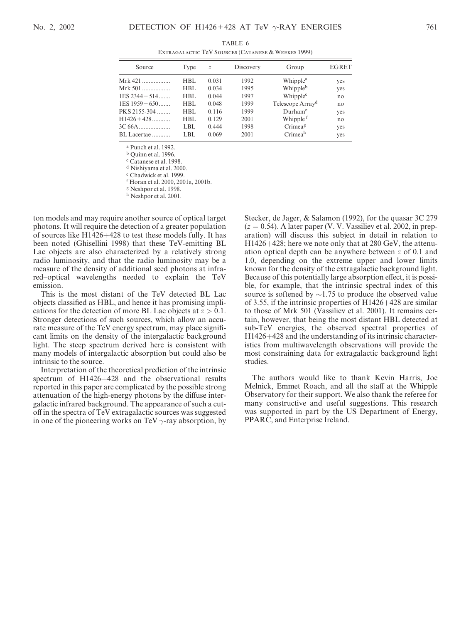| EATKAUALAUTIU TUV BUURULS (CATAINESE OG WEEKES 1777) |      |               |           |                              |       |  |
|------------------------------------------------------|------|---------------|-----------|------------------------------|-------|--|
| Source                                               | Type | $\mathcal{Z}$ | Discovery | Group                        | EGRET |  |
| $Mrk 421$                                            | HBL. | 0.031         | 1992      | Whipple <sup>a</sup>         | yes   |  |
| Mrk 501                                              | HBL  | 0.034         | 1995      | Whipple <sup>b</sup>         | yes   |  |
| $1ES$ 2344 + 514                                     | HBL. | 0.044         | 1997      | Whipple <sup>c</sup>         | no    |  |
| $1ES$ 1959 + 650                                     | HBL. | 0.048         | 1999      | Telescope Array <sup>d</sup> | no    |  |
| PKS 2155-304                                         | HBL. | 0.116         | 1999      | Durham <sup>e</sup>          | yes   |  |
| $H1426 + 428$                                        | HBL. | 0.129         | 2001      | Whipple <sup>f</sup>         | no    |  |
|                                                      | LBL. | 0.444         | 1998      | Crimeag                      | yes   |  |
| BL Lacertae                                          | LBL. | 0.069         | 2001      | Crimeah                      | yes   |  |

TABLE 6 Extragalactic TeV Sources (Catanese & Weekes 1999)

<sup>a</sup> Punch et al. 1992.

<sup>b</sup> Quinn et al. 1996.

<sup>c</sup> Catanese et al. 1998.

<sup>d</sup> Nishiyama et al. 2000.

<sup>e</sup> Chadwick et al. 1999.

<sup>f</sup> Horan et al. 2000, 2001a, 2001b.

<sup>g</sup> Neshpor et al. 1998.

h Neshpor et al. 2001.

ton models and may require another source of optical target photons. It will require the detection of a greater population of sources like H1426+428 to test these models fully. It has been noted (Ghisellini 1998) that these TeV-emitting BL Lac objects are also characterized by a relatively strong radio luminosity, and that the radio luminosity may be a measure of the density of additional seed photons at infrared–optical wavelengths needed to explain the TeV emission.

This is the most distant of the TeV detected BL Lac objects classified as HBL, and hence it has promising implications for the detection of more BL Lac objects at  $z > 0.1$ . Stronger detections of such sources, which allow an accurate measure of the TeV energy spectrum, may place significant limits on the density of the intergalactic background light. The steep spectrum derived here is consistent with many models of intergalactic absorption but could also be intrinsic to the source.

Interpretation of the theoretical prediction of the intrinsic spectrum of H1426+428 and the observational results reported in this paper are complicated by the possible strong attenuation of the high-energy photons by the diffuse intergalactic infrared background. The appearance of such a cutoff in the spectra of TeV extragalactic sources was suggested in one of the pioneering works on TeV  $\gamma$ -ray absorption, by Stecker, de Jager, & Salamon (1992), for the quasar 3C 279  $(z = 0.54)$ . A later paper (V. V. Vassiliev et al. 2002, in preparation) will discuss this subject in detail in relation to H1426+428; here we note only that at 280 GeV, the attenuation optical depth can be anywhere between z of 0.1 and 1.0, depending on the extreme upper and lower limits known for the density of the extragalactic background light. Because of this potentially large absorption effect, it is possible, for example, that the intrinsic spectral index of this source is softened by  $\sim$ 1.75 to produce the observed value of 3.55, if the intrinsic properties of H1426+428 are similar to those of Mrk 501 (Vassiliev et al. 2001). It remains certain, however, that being the most distant HBL detected at sub-TeV energies, the observed spectral properties of H1426+428 and the understanding of its intrinsic characteristics from multiwavelength observations will provide the most constraining data for extragalactic background light studies.

The authors would like to thank Kevin Harris, Joe Melnick, Emmet Roach, and all the staff at the Whipple Observatory for their support. We also thank the referee for many constructive and useful suggestions. This research was supported in part by the US Department of Energy, PPARC, and Enterprise Ireland.